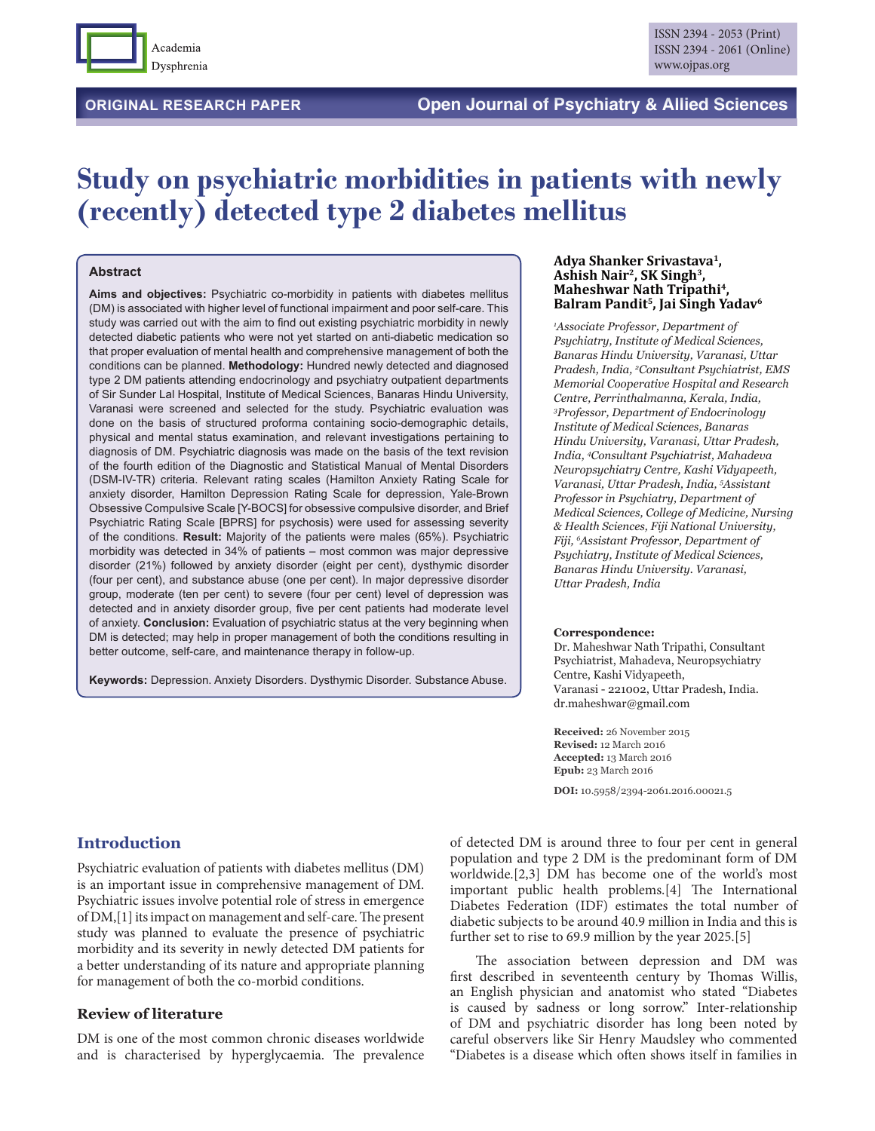

# **Study on psychiatric morbidities in patients with newly (recently) detected type 2 diabetes mellitus**

### **Abstract**

**Aims and objectives:** Psychiatric co-morbidity in patients with diabetes mellitus (DM) is associated with higher level of functional impairment and poor self-care. This study was carried out with the aim to find out existing psychiatric morbidity in newly detected diabetic patients who were not yet started on anti-diabetic medication so that proper evaluation of mental health and comprehensive management of both the conditions can be planned. **Methodology:** Hundred newly detected and diagnosed type 2 DM patients attending endocrinology and psychiatry outpatient departments of Sir Sunder Lal Hospital, Institute of Medical Sciences, Banaras Hindu University, Varanasi were screened and selected for the study. Psychiatric evaluation was done on the basis of structured proforma containing socio-demographic details, physical and mental status examination, and relevant investigations pertaining to diagnosis of DM. Psychiatric diagnosis was made on the basis of the text revision of the fourth edition of the Diagnostic and Statistical Manual of Mental Disorders (DSM-IV-TR) criteria. Relevant rating scales (Hamilton Anxiety Rating Scale for anxiety disorder, Hamilton Depression Rating Scale for depression, Yale-Brown Obsessive Compulsive Scale [Y-BOCS] for obsessive compulsive disorder, and Brief Psychiatric Rating Scale [BPRS] for psychosis) were used for assessing severity of the conditions. **Result:** Majority of the patients were males (65%). Psychiatric morbidity was detected in 34% of patients – most common was major depressive disorder (21%) followed by anxiety disorder (eight per cent), dysthymic disorder (four per cent), and substance abuse (one per cent). In major depressive disorder group, moderate (ten per cent) to severe (four per cent) level of depression was detected and in anxiety disorder group, five per cent patients had moderate level of anxiety. **Conclusion:** Evaluation of psychiatric status at the very beginning when DM is detected; may help in proper management of both the conditions resulting in better outcome, self-care, and maintenance therapy in follow-up.

**Keywords:** Depression. Anxiety Disorders. Dysthymic Disorder. Substance Abuse.

#### **Adya Shanker Srivastava1, Ashish Nair2, SK Singh3, Maheshwar Nath Tripathi4, Balram Pandit5, Jai Singh Yadav6**

*1 Associate Professor, Department of Psychiatry, Institute of Medical Sciences, Banaras Hindu University, Varanasi, Uttar Pradesh, India, 2 Consultant Psychiatrist, EMS Memorial Cooperative Hospital and Research Centre, Perrinthalmanna, Kerala, India, 3 Professor, Department of Endocrinology Institute of Medical Sciences, Banaras Hindu University, Varanasi, Uttar Pradesh, India, 4 Consultant Psychiatrist, Mahadeva Neuropsychiatry Centre, Kashi Vidyapeeth, Varanasi, Uttar Pradesh, India, 5 Assistant Professor in Psychiatry, Department of Medical Sciences, College of Medicine, Nursing & Health Sciences, Fiji National University, Fiji, 6 Assistant Professor, Department of Psychiatry, Institute of Medical Sciences, Banaras Hindu University. Varanasi, Uttar Pradesh, India*

#### **Correspondence:**

Dr. Maheshwar Nath Tripathi, Consultant Psychiatrist, Mahadeva, Neuropsychiatry Centre, Kashi Vidyapeeth, Varanasi - 221002, Uttar Pradesh, India. dr.maheshwar@gmail.com

**Received:** 26 November 2015 **Revised:** 12 March 2016 **Accepted:** 13 March 2016 **Epub:** 23 March 2016

**DOI:** 10.5958/2394-2061.2016.00021.5

### **Introduction**

Psychiatric evaluation of patients with diabetes mellitus (DM) is an important issue in comprehensive management of DM. Psychiatric issues involve potential role of stress in emergence of DM,[1] its impact on management and self-care. The present study was planned to evaluate the presence of psychiatric morbidity and its severity in newly detected DM patients for a better understanding of its nature and appropriate planning for management of both the co-morbid conditions.

### **Review of literature**

DM is one of the most common chronic diseases worldwide and is characterised by hyperglycaemia. The prevalence of detected DM is around three to four per cent in general population and type 2 DM is the predominant form of DM worldwide.[2,3] DM has become one of the world's most important public health problems.[4] The International Diabetes Federation (IDF) estimates the total number of diabetic subjects to be around 40.9 million in India and this is further set to rise to 69.9 million by the year 2025.[5]

The association between depression and DM was first described in seventeenth century by Thomas Willis, an English physician and anatomist who stated "Diabetes is caused by sadness or long sorrow." Inter-relationship of DM and psychiatric disorder has long been noted by careful observers like Sir Henry Maudsley who commented "Diabetes is a disease which often shows itself in families in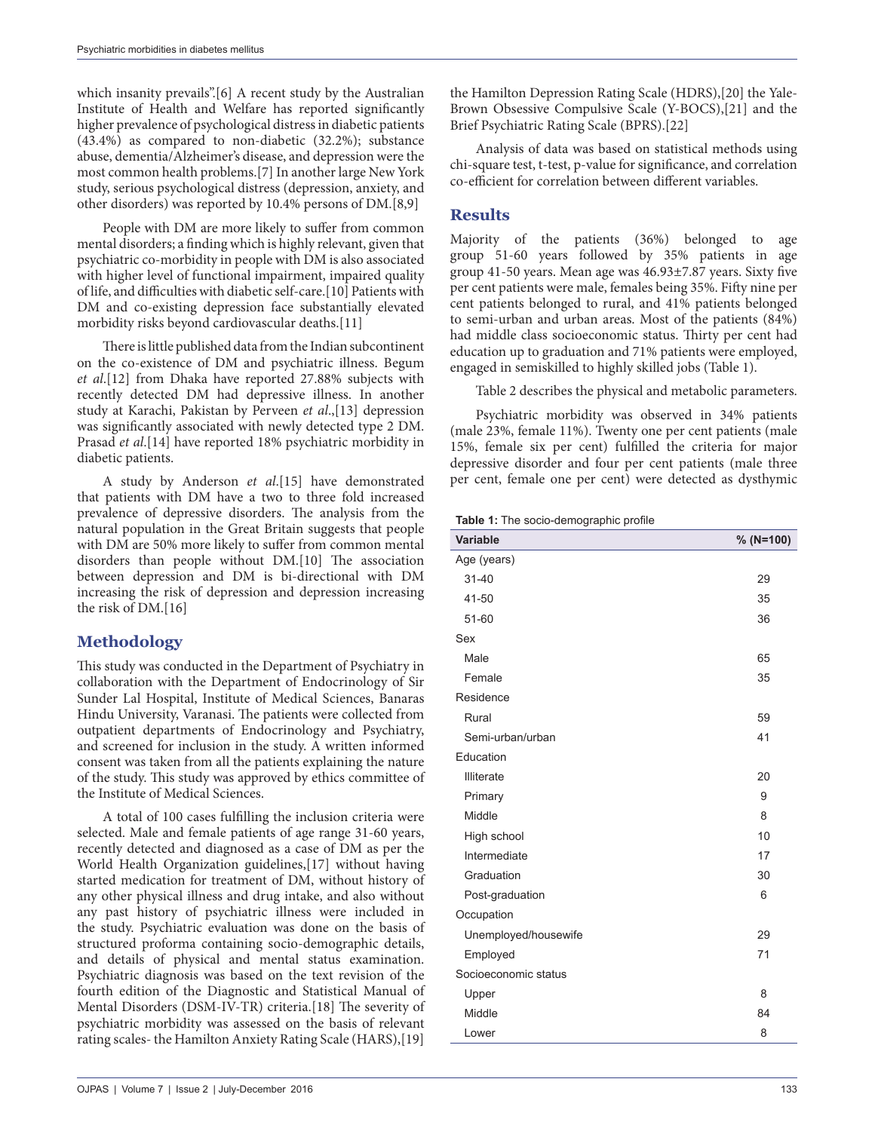which insanity prevails".[6] A recent study by the Australian Institute of Health and Welfare has reported significantly higher prevalence of psychological distress in diabetic patients (43.4%) as compared to non-diabetic (32.2%); substance abuse, dementia/Alzheimer's disease, and depression were the most common health problems.[7] In another large New York study, serious psychological distress (depression, anxiety, and other disorders) was reported by 10.4% persons of DM.[8,9]

People with DM are more likely to suffer from common mental disorders; a finding which is highly relevant, given that psychiatric co-morbidity in people with DM is also associated with higher level of functional impairment, impaired quality of life, and difficulties with diabetic self-care.[10] Patients with DM and co-existing depression face substantially elevated morbidity risks beyond cardiovascular deaths.[11]

There is little published data from the Indian subcontinent on the co-existence of DM and psychiatric illness. Begum *et al*.[12] from Dhaka have reported 27.88% subjects with recently detected DM had depressive illness. In another study at Karachi, Pakistan by Perveen *et al*.,[13] depression was significantly associated with newly detected type 2 DM. Prasad *et al*.[14] have reported 18% psychiatric morbidity in diabetic patients.

A study by Anderson *et al*.[15] have demonstrated that patients with DM have a two to three fold increased prevalence of depressive disorders. The analysis from the natural population in the Great Britain suggests that people with DM are 50% more likely to suffer from common mental disorders than people without DM.[10] The association between depression and DM is bi-directional with DM increasing the risk of depression and depression increasing the risk of DM.[16]

# **Methodology**

This study was conducted in the Department of Psychiatry in collaboration with the Department of Endocrinology of Sir Sunder Lal Hospital, Institute of Medical Sciences, Banaras Hindu University, Varanasi. The patients were collected from outpatient departments of Endocrinology and Psychiatry, and screened for inclusion in the study. A written informed consent was taken from all the patients explaining the nature of the study. This study was approved by ethics committee of the Institute of Medical Sciences.

A total of 100 cases fulfilling the inclusion criteria were selected. Male and female patients of age range 31-60 years, recently detected and diagnosed as a case of DM as per the World Health Organization guidelines,[17] without having started medication for treatment of DM, without history of any other physical illness and drug intake, and also without any past history of psychiatric illness were included in the study. Psychiatric evaluation was done on the basis of structured proforma containing socio-demographic details, and details of physical and mental status examination. Psychiatric diagnosis was based on the text revision of the fourth edition of the Diagnostic and Statistical Manual of Mental Disorders (DSM-IV-TR) criteria.[18] The severity of psychiatric morbidity was assessed on the basis of relevant rating scales- the Hamilton Anxiety Rating Scale (HARS),[19]

the Hamilton Depression Rating Scale (HDRS),[20] the Yale-Brown Obsessive Compulsive Scale (Y-BOCS),[21] and the Brief Psychiatric Rating Scale (BPRS).[22]

Analysis of data was based on statistical methods using chi-square test, t-test, p-value for significance, and correlation co-efficient for correlation between different variables.

# **Results**

Majority of the patients (36%) belonged to age group 51-60 years followed by 35% patients in age group 41-50 years. Mean age was 46.93±7.87 years. Sixty five per cent patients were male, females being 35%. Fifty nine per cent patients belonged to rural, and 41% patients belonged to semi-urban and urban areas. Most of the patients (84%) had middle class socioeconomic status. Thirty per cent had education up to graduation and 71% patients were employed, engaged in semiskilled to highly skilled jobs (Table 1).

Table 2 describes the physical and metabolic parameters.

Psychiatric morbidity was observed in 34% patients (male 23%, female 11%). Twenty one per cent patients (male 15%, female six per cent) fulfilled the criteria for major depressive disorder and four per cent patients (male three per cent, female one per cent) were detected as dysthymic

| Table 1: The socio-demographic profile |
|----------------------------------------|
|----------------------------------------|

| <b>Variable</b>      | $% (N=100)$ |
|----------------------|-------------|
| Age (years)          |             |
| $31 - 40$            | 29          |
| 41-50                | 35          |
| $51 - 60$            | 36          |
| Sex                  |             |
| Male                 | 65          |
| Female               | 35          |
| Residence            |             |
| Rural                | 59          |
| Semi-urban/urban     | 41          |
| Education            |             |
| <b>Illiterate</b>    | 20          |
| Primary              | 9           |
| Middle               | 8           |
| High school          | 10          |
| Intermediate         | 17          |
| Graduation           | 30          |
| Post-graduation      | 6           |
| Occupation           |             |
| Unemployed/housewife | 29          |
| Employed             | 71          |
| Socioeconomic status |             |
| Upper                | 8           |
| Middle               | 84          |
| Lower                | 8           |
|                      |             |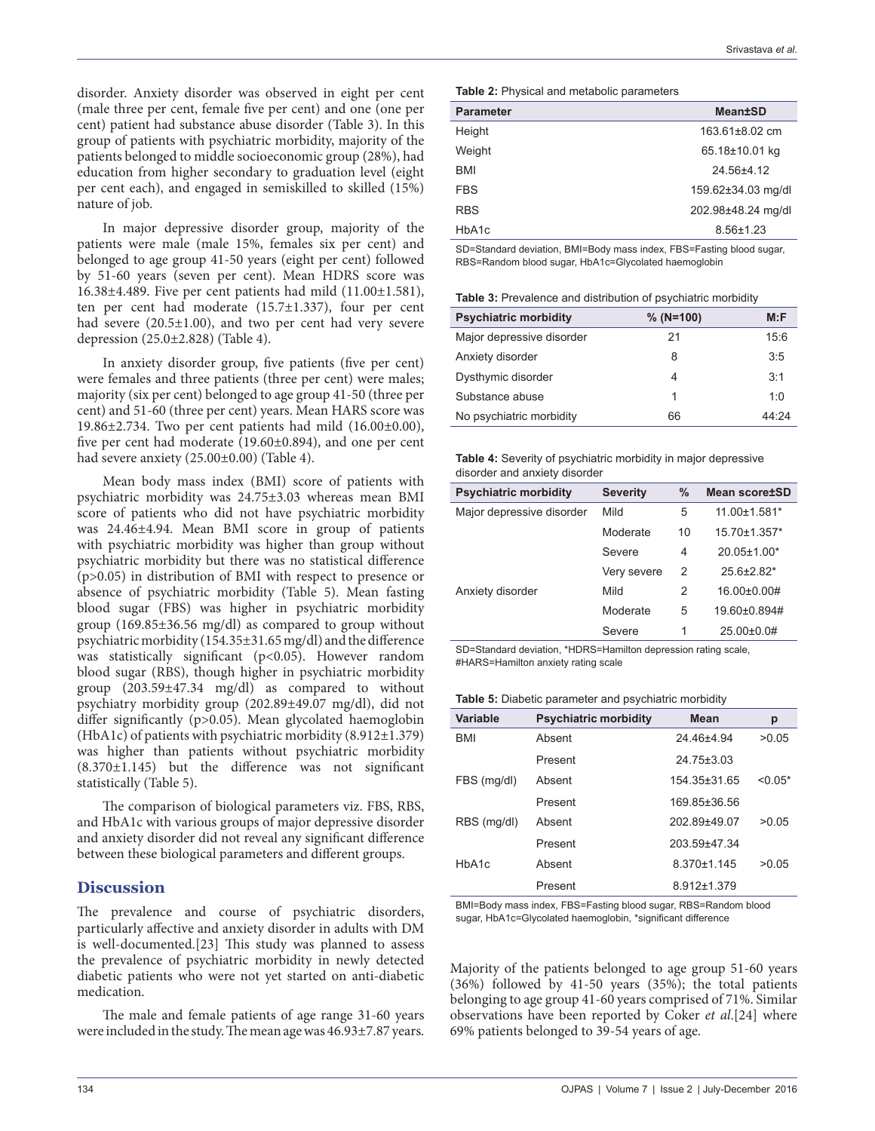disorder. Anxiety disorder was observed in eight per cent (male three per cent, female five per cent) and one (one per cent) patient had substance abuse disorder (Table 3). In this group of patients with psychiatric morbidity, majority of the patients belonged to middle socioeconomic group (28%), had education from higher secondary to graduation level (eight per cent each), and engaged in semiskilled to skilled (15%) nature of job.

In major depressive disorder group, majority of the patients were male (male 15%, females six per cent) and belonged to age group 41-50 years (eight per cent) followed by 51-60 years (seven per cent). Mean HDRS score was 16.38±4.489. Five per cent patients had mild (11.00±1.581), ten per cent had moderate (15.7±1.337), four per cent had severe  $(20.5\pm1.00)$ , and two per cent had very severe depression (25.0±2.828) (Table 4).

In anxiety disorder group, five patients (five per cent) were females and three patients (three per cent) were males; majority (six per cent) belonged to age group 41-50 (three per cent) and 51-60 (three per cent) years. Mean HARS score was 19.86±2.734. Two per cent patients had mild (16.00±0.00), five per cent had moderate (19.60±0.894), and one per cent had severe anxiety (25.00±0.00) (Table 4).

Mean body mass index (BMI) score of patients with psychiatric morbidity was 24.75±3.03 whereas mean BMI score of patients who did not have psychiatric morbidity was 24.46±4.94. Mean BMI score in group of patients with psychiatric morbidity was higher than group without psychiatric morbidity but there was no statistical difference (p>0.05) in distribution of BMI with respect to presence or absence of psychiatric morbidity (Table 5). Mean fasting blood sugar (FBS) was higher in psychiatric morbidity group (169.85±36.56 mg/dl) as compared to group without psychiatric morbidity (154.35±31.65 mg/dl) and the difference was statistically significant (p<0.05). However random blood sugar (RBS), though higher in psychiatric morbidity group (203.59±47.34 mg/dl) as compared to without psychiatry morbidity group (202.89±49.07 mg/dl), did not differ significantly (p>0.05). Mean glycolated haemoglobin (HbA1c) of patients with psychiatric morbidity (8.912±1.379) was higher than patients without psychiatric morbidity (8.370±1.145) but the difference was not significant statistically (Table 5).

The comparison of biological parameters viz. FBS, RBS, and HbA1c with various groups of major depressive disorder and anxiety disorder did not reveal any significant difference between these biological parameters and different groups.

## **Discussion**

The prevalence and course of psychiatric disorders, particularly affective and anxiety disorder in adults with DM is well-documented.[23] This study was planned to assess the prevalence of psychiatric morbidity in newly detected diabetic patients who were not yet started on anti-diabetic medication.

The male and female patients of age range 31-60 years were included in the study. The mean age was 46.93±7.87 years.

|  | Table 2: Physical and metabolic parameters |
|--|--------------------------------------------|
|--|--------------------------------------------|

| <b>Parameter</b> | <b>Mean±SD</b>       |
|------------------|----------------------|
| Height           | $163.61 \pm 8.02$ cm |
| Weight           | 65.18±10.01 kg       |
| <b>BMI</b>       | 24.56±4.12           |
| <b>FBS</b>       | 159.62±34.03 mg/dl   |
| <b>RBS</b>       | 202.98±48.24 mg/dl   |
| HbA1c            | $8.56 \pm 1.23$      |

SD=Standard deviation, BMI=Body mass index, FBS=Fasting blood sugar, RBS=Random blood sugar, HbA1c=Glycolated haemoglobin

**Table 3:** Prevalence and distribution of psychiatric morbidity

| <b>Psychiatric morbidity</b> | $% (N=100)$ | M: F  |
|------------------------------|-------------|-------|
| Major depressive disorder    | 21          | 15:6  |
| Anxiety disorder             | 8           | 3:5   |
| Dysthymic disorder           | 4           | 3:1   |
| Substance abuse              | 1           | 1:0   |
| No psychiatric morbidity     | 66          | 44.24 |

**Table 4:** Severity of psychiatric morbidity in major depressive disorder and anxiety disorder

| <b>Psychiatric morbidity</b> | <b>Severity</b> | %             | <b>Mean score±SD</b> |
|------------------------------|-----------------|---------------|----------------------|
| Major depressive disorder    | Mild            | 5             | 11.00±1.581*         |
|                              | Moderate        | 10            | 15.70±1.357*         |
|                              | Severe          | 4             | 20.05±1.00*          |
|                              | Very severe     | $\mathcal{P}$ | $25.6{\pm}2.82*$     |
| Anxiety disorder             | Mild            | 2             | 16.00±0.00#          |
|                              | Moderate        | 5             | 19.60±0.894#         |
|                              | Severe          | 1             | $25.00\pm0.0#$       |

SD=Standard deviation, \*HDRS=Hamilton depression rating scale, #HARS=Hamilton anxiety rating scale

**Table 5:** Diabetic parameter and psychiatric morbidity

| Variable           | <b>Psychiatric morbidity</b> | <b>Mean</b>  | р         |
|--------------------|------------------------------|--------------|-----------|
| <b>BMI</b>         | Absent                       | 24 46+4 94   | >0.05     |
|                    | Present                      | 24.75±3.03   |           |
| FBS (mg/dl)        | Absent                       | 154.35±31.65 | $< 0.05*$ |
|                    | Present                      | 169 85+36 56 |           |
| RBS (mg/dl)        | Absent                       | 202 89+49 07 | >0.05     |
|                    | Present                      | 203 59+47 34 |           |
| HhA <sub>1</sub> c | Absent                       | 8 370+1 145  | >0.05     |
|                    | Present                      | 8.912±1.379  |           |

BMI=Body mass index, FBS=Fasting blood sugar, RBS=Random blood sugar, HbA1c=Glycolated haemoglobin, \*significant difference

Majority of the patients belonged to age group 51-60 years (36%) followed by 41-50 years (35%); the total patients belonging to age group 41-60 years comprised of 71%. Similar observations have been reported by Coker *et al*.[24] where 69% patients belonged to 39-54 years of age.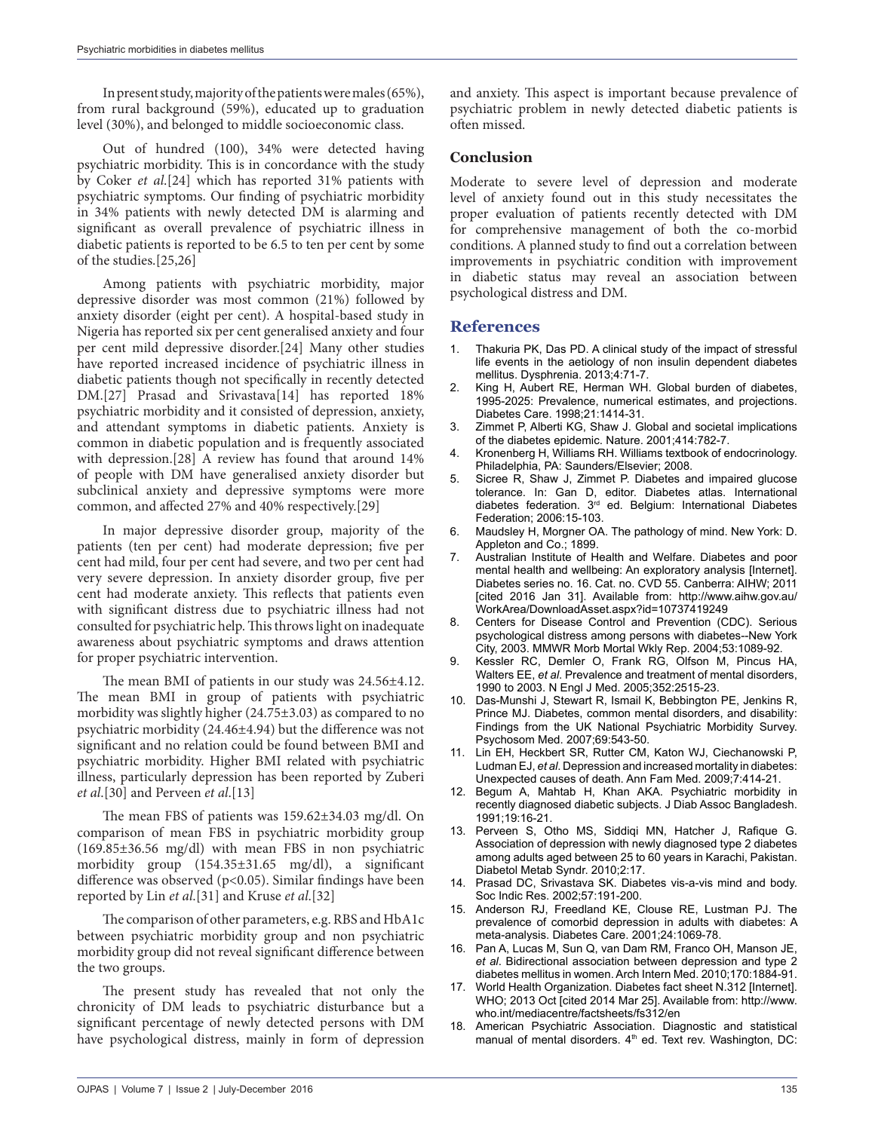In present study, majority of the patients were males (65%), from rural background (59%), educated up to graduation level (30%), and belonged to middle socioeconomic class.

Out of hundred (100), 34% were detected having psychiatric morbidity. This is in concordance with the study by Coker *et al*.[24] which has reported 31% patients with psychiatric symptoms. Our finding of psychiatric morbidity in 34% patients with newly detected DM is alarming and significant as overall prevalence of psychiatric illness in diabetic patients is reported to be 6.5 to ten per cent by some of the studies.[25,26]

Among patients with psychiatric morbidity, major depressive disorder was most common (21%) followed by anxiety disorder (eight per cent). A hospital-based study in Nigeria has reported six per cent generalised anxiety and four per cent mild depressive disorder.[24] Many other studies have reported increased incidence of psychiatric illness in diabetic patients though not specifically in recently detected DM.<sup>[27]</sup> Prasad and Srivastava<sup>[14]</sup> has reported 18% psychiatric morbidity and it consisted of depression, anxiety, and attendant symptoms in diabetic patients. Anxiety is common in diabetic population and is frequently associated with depression.[28] A review has found that around 14% of people with DM have generalised anxiety disorder but subclinical anxiety and depressive symptoms were more common, and affected 27% and 40% respectively.[29]

In major depressive disorder group, majority of the patients (ten per cent) had moderate depression; five per cent had mild, four per cent had severe, and two per cent had very severe depression. In anxiety disorder group, five per cent had moderate anxiety. This reflects that patients even with significant distress due to psychiatric illness had not consulted for psychiatric help. This throws light on inadequate awareness about psychiatric symptoms and draws attention for proper psychiatric intervention.

The mean BMI of patients in our study was 24.56±4.12. The mean BMI in group of patients with psychiatric morbidity was slightly higher (24.75±3.03) as compared to no psychiatric morbidity (24.46±4.94) but the difference was not significant and no relation could be found between BMI and psychiatric morbidity. Higher BMI related with psychiatric illness, particularly depression has been reported by Zuberi *et al*.[30] and Perveen *et al*.[13]

The mean FBS of patients was 159.62±34.03 mg/dl. On comparison of mean FBS in psychiatric morbidity group (169.85±36.56 mg/dl) with mean FBS in non psychiatric morbidity group (154.35±31.65 mg/dl), a significant difference was observed (p<0.05). Similar findings have been reported by Lin *et al*.[31] and Kruse *et al*.[32]

The comparison of other parameters, e.g. RBS and HbA1c between psychiatric morbidity group and non psychiatric morbidity group did not reveal significant difference between the two groups.

The present study has revealed that not only the chronicity of DM leads to psychiatric disturbance but a significant percentage of newly detected persons with DM have psychological distress, mainly in form of depression and anxiety. This aspect is important because prevalence of psychiatric problem in newly detected diabetic patients is often missed.

### **Conclusion**

Moderate to severe level of depression and moderate level of anxiety found out in this study necessitates the proper evaluation of patients recently detected with DM for comprehensive management of both the co-morbid conditions. A planned study to find out a correlation between improvements in psychiatric condition with improvement in diabetic status may reveal an association between psychological distress and DM.

### **References**

- 1. Thakuria PK, Das PD. A clinical study of the impact of stressful life events in the aetiology of non insulin dependent diabetes mellitus. Dysphrenia. 2013;4:71-7.
- King H, Aubert RE, Herman WH. Global burden of diabetes, 1995-2025: Prevalence, numerical estimates, and projections. Diabetes Care. 1998;21:1414-31.
- Zimmet P, Alberti KG, Shaw J. Global and societal implications of the diabetes epidemic. Nature. 2001;414:782-7.
- 4. Kronenberg H, Williams RH. Williams textbook of endocrinology. Philadelphia, PA: Saunders/Elsevier; 2008.
- 5. Sicree R, Shaw J, Zimmet P. Diabetes and impaired glucose tolerance. In: Gan D, editor. Diabetes atlas. International diabetes federation. 3rd ed. Belgium: International Diabetes Federation; 2006:15-103.
- 6. Maudsley H, Morgner OA. The pathology of mind. New York: D. Appleton and Co.; 1899.
- 7. Australian Institute of Health and Welfare. Diabetes and poor mental health and wellbeing: An exploratory analysis [Internet]. Diabetes series no. 16. Cat. no. CVD 55. Canberra: AIHW; 2011 [cited 2016 Jan 31]. Available from: http://www.aihw.gov.au/ WorkArea/DownloadAsset.aspx?id=10737419249
- 8. Centers for Disease Control and Prevention (CDC). Serious psychological distress among persons with diabetes--New York City, 2003. MMWR Morb Mortal Wkly Rep. 2004;53:1089-92.
- 9. Kessler RC, Demler O, Frank RG, Olfson M, Pincus HA, Walters EE, *et al*. Prevalence and treatment of mental disorders, 1990 to 2003. N Engl J Med. 2005;352:2515-23.
- 10. Das-Munshi J, Stewart R, Ismail K, Bebbington PE, Jenkins R, Prince MJ. Diabetes, common mental disorders, and disability: Findings from the UK National Psychiatric Morbidity Survey. Psychosom Med. 2007;69:543-50.
- 11. Lin EH, Heckbert SR, Rutter CM, Katon WJ, Ciechanowski P, Ludman EJ, *et al*. Depression and increased mortality in diabetes: Unexpected causes of death. Ann Fam Med. 2009;7:414-21.
- 12. Begum A, Mahtab H, Khan AKA. Psychiatric morbidity in recently diagnosed diabetic subjects. J Diab Assoc Bangladesh. 1991;19:16-21.
- 13. Perveen S, Otho MS, Siddiqi MN, Hatcher J, Rafique G. Association of depression with newly diagnosed type 2 diabetes among adults aged between 25 to 60 years in Karachi, Pakistan. Diabetol Metab Syndr. 2010;2:17.
- 14. Prasad DC, Srivastava SK. Diabetes vis-a-vis mind and body. Soc Indic Res. 2002;57:191-200.
- 15. Anderson RJ, Freedland KE, Clouse RE, Lustman PJ. The prevalence of comorbid depression in adults with diabetes: A meta-analysis. Diabetes Care. 2001;24:1069-78.
- 16. Pan A, Lucas M, Sun Q, van Dam RM, Franco OH, Manson JE, *et al*. Bidirectional association between depression and type 2 diabetes mellitus in women. Arch Intern Med. 2010;170:1884-91.
- 17. World Health Organization. Diabetes fact sheet N.312 [Internet]. WHO; 2013 Oct [cited 2014 Mar 25]. Available from: http://www. who.int/mediacentre/factsheets/fs312/en
- 18. American Psychiatric Association. Diagnostic and statistical manual of mental disorders. 4<sup>th</sup> ed. Text rev. Washington, DC: